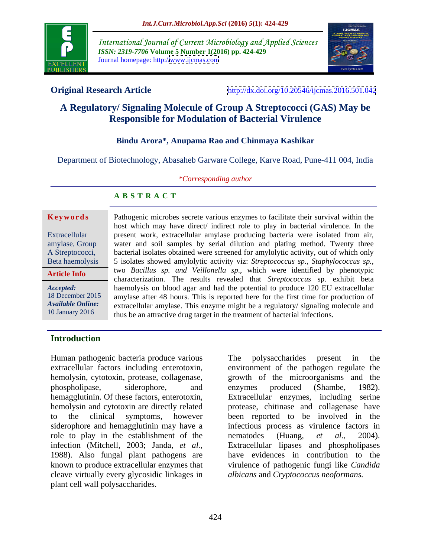

International Journal of Current Microbiology and Applied Sciences *ISSN: 2319-7706* **Volume 5 Number 1(2016) pp. 424-429** Journal homepage: http:/[/www.ijcmas.com](http://www.ijcmas.com)



**Original Research Article** <http://dx.doi.org/10.20546/ijcmas.2016.501.042>

# **A Regulatory/ Signaling Molecule of Group A Streptococci (GAS) May be Responsible for Modulation of Bacterial Virulence**

## **Bindu Arora\*, Anupama Rao and Chinmaya Kashikar**

Department of Biotechnology, Abasaheb Garware College, Karve Road, Pune-411 004, India

### *\*Corresponding author*

### **A B S T R A C T**

**Article Info**

host which may have direct/ indirect role to play in bacterial virulence. In the Extracellular **present work, extracellular amylase producing bacteria were isolated from air,** amylase, Group water and soil samples by serial dilution and plating method. Twenty three A Streptococci, bacterial isolates obtained were screened for amylolytic activity, out of which only 5 isolates showed amylolytic activity viz: *Streptococcus sp., Staphylococcus sp.,* Beta haemolysis two *Bacillus sp. and Veillonella sp*., which were identified by phenotypic characterization. The results revealed that *Streptococcus* sp. exhibit beta haemolysis on blood agar and had the potential to produce 120 EU extracellular *Accepted:*  18 December 2015 amylase after 48 hours. This is reported here for the first time for production of extracellular amylase. This enzyme might be a regulatory/ signaling molecule and *Available Online:* **Keywords**<br> **Reference 10** and the constrained their survival within the<br>
Extracellular any lawe direct/indirect role to play in bacterial virulence. In the<br> **Extracellular** any lawe throw, extracellular any<br>
amylase, Grou 10 January 2016 thus be an attractive drug target in the treatment of bacterial infections.

Pathogenic microbes secrete various enzymes to facilitate their survival within the

## **Introduction**

Human pathogenic bacteria produce various The polysaccharides present in the role to play in the establishment of the nematodes (Huang, et al., 2004). 1988). Also fungal plant pathogens are cleave virtually every glycosidic linkages in plant cell wall polysaccharides.

extracellular factors including enterotoxin, environment of the pathogen regulate the hemolysin, cytotoxin, protease, collagenase, growth of the microorganisms and the phospholipase, siderophore, and enzymes produced (Shambe, 1982). hemagglutinin. Of these factors, enterotoxin, Extracellular enzymes, including serine hemolysin and cytotoxin are directly related protease, chitinase and collagenase have to the clinical symptoms, however been reported to be involved in the siderophore and hemagglutinin may have a infectious process as virulence factors in infection (Mitchell, 2003; Janda, *et al.,* Extracellular lipases and phospholipases known to produce extracellular enzymes that virulence of pathogenic fungi like *Candida* The polysaccharides present in the enzymes produced (Shambe, 1982). nematodes (Huang, *et al.,* 2004). have evidences in contribution to the *albicans* and *Cryptococcus neoformans.*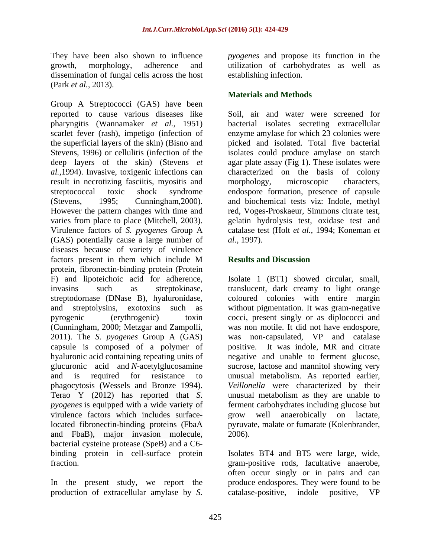dissemination of fungal cells across the host (Park *et al.,* 2013).

Group A Streptococci (GAS) have been reported to cause various diseases like pharyngitis (Wannamaker *et al.,* 1951) bacterial isolates secreting extracellular scarlet fever (rash), impetigo (infection of enzyme amylase for which 23 colonies were the superficial layers of the skin) (Bisno and Stevens, 1996) or cellulitis (infection of the isolates could produce amylase on starch deep layers of the skin) (Stevens *et*  agar plate assay (Fig 1). These isolates were *al.,*1994). Invasive, toxigenic infections can characterized on the basis of colony result in necrotizing fasciitis, myositis and morphology, microscopic characters, streptococcal toxic shock syndrome endospore formation, presence of capsule (Stevens, 1995; Cunningham, 2000). and biochemical tests viz: Indole, methyl<br>However the pattern changes with time and red, Voges-Proskaeur, Simmons citrate test, varies from place to place (Mitchell, 2003). Virulence factors of *S. pyogenes* Group A (GAS) potentially cause a large number of *al.*, 1997). diseases because of variety of virulence factors present in them which include M protein, fibronectin-binding protein (Protein F) and lipoteichoic acid for adherence, Isolate 1 (BT1) showed circular, small, invasins such as streptokinase, translucent, dark creamy to light orange<br>streptodornase (DNase B), hyaluronidase, coloured colonies with entire margin<br>and streptolysins, exotoxins such as without-pigmentation. It was grampyrogenic (erythrogenic) toxin cocci, present singly or as diplococci and (Cunningham, 2000; Metzgar and Zampolli, was non motile. It did not have endospore, 2011). The *S. pyogenes* Group A (GAS) was non-capsulated, VP and catalase capsule is composed of a polymer of positive. It was indole, MR and citrate hyaluronic acid containing repeating units of negative and unable to ferment glucose, glucuronic acid and *N*-acetylglucosamine sucrose, lactose and mannitol showing very and is required for resistance to unusual metabolism. As reported earlier, phagocytosis (Wessels and Bronze 1994). *Veillonella* were characterized by their Terao Y (2012) has reported that *S.* unusual metabolism as they are unable to *pyogenes* is equipped with a wide variety of ferment carbohydrates including glucose but virulence factors which includes surface-<br>grow well anaerobically on lactate, located fibronectin-binding proteins (FbaA pyruvate, malate or fumarate (Kolenbrander, and FbaB), major invasion molecule, bacterial cysteine protease (SpeB) and a C6 binding protein in cell-surface protein

In the present study, we report the production of extracellular amylase by *S.*

They have been also shown to influence *pyogenes* and propose its function in the growth, morphology, adherence and utilization of carbohydrates as well as establishing infection.

## **Materials and Methods**

Soil, air and water were screened for picked and isolated. Total five bacterial morphology, microscopic characters, and biochemical tests viz: Indole, methyl red, Voges-Proskaeur, Simmons citrate test, gelatin hydrolysis test, oxidase test and catalase test (Holt *et al.,* 1994; Koneman *et al.,* 1997).

## **Results and Discussion**

translucent, dark creamy to light orange coloured colonies with entire margin without pigmentation. It was gram-negative grow well anaerobically on lactate, 2006).

fraction. gram-positive rods, facultative anaerobe, Isolates BT4 and BT5 were large, wide, often occur singly or in pairs and can produce endospores. They were found to be catalase-positive, indole positive,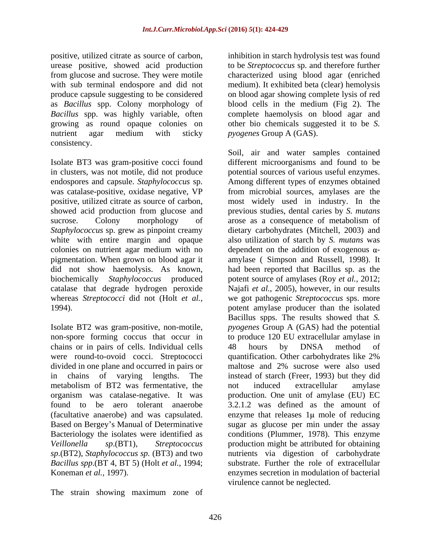positive, utilized citrate as source of carbon, inhibition in starch hydrolysis test was found urease positive, showed acid production to be *Streptococcus* sp. and therefore further from glucose and sucrose. They were motile characterized using blood agar (enriched with sub terminal endospore and did not medium). It exhibited beta (clear) hemolysis produce capsule suggesting to be considered on blood agar showing complete lysis of red as *Bacillus* spp. Colony morphology of *Bacillus* spp. was highly variable, often complete haemolysis on blood agar and growing as round opaque colonies on other bio chemicals suggested it to be *S.*  nutrient agar medium with sticky *pyogenes* Group A (GAS). consistency.

Isolate BT3 was gram-positive cocci found *Staphylococcus* sp. grew as pinpoint creamy

Isolate BT2 was gram-positive, non-motile, chains or in pairs of cells. Individual cells were round-to-ovoid cocci. Streptococci quantification. Other carbohydrates like 2% metabolism of BT2 was fermentative, the not induced extracellular amylase *sp*.(BT2), *Staphylococcus sp.* (BT3) and two *Bacillus spp*.(BT 4, BT 5) (Holt *et al.,* 1994;

The strain showing maximum zone of

blood cells in the medium (Fig 2). The *pyogenes* Group A (GAS).

in clusters, was not motile, did not produce potential sources of various useful enzymes. endospores and capsule. *Staphylococcus* sp. Among different types of enzymes obtained was catalase-positive, oxidase negative, VP from microbial sources, amylases are the positive, utilized citrate as source of carbon, most widely used in industry. In the showed acid production from glucose and previous studies, dental caries by *S. mutans* sucrose. Colony morphology of arose as a consequence of metabolism of white with entire margin and opaque also utilization of starch by *S. mutans* was colonies on nutrient agar medium with no  $\qquad$  dependent on the addition of exogenous  $\alpha$ pigmentation. When grown on blood agar it amylase ( Simpson and Russell, 1998). It did not show haemolysis. As known, had been reported that Bacillus sp. as the biochemically *Staphylococcus* produced potent source of amylases (Roy *et al.,* 2012; catalase that degrade hydrogen peroxide Najafi *et al.,* 2005), however, in our results whereas *Streptococci* did not (Holt *et al.,* we got pathogenic *Streptococcus* sps. more 1994). potent amylase producer than the isolated non-spore forming coccus that occur in to produce 120 EU extracellular amylase in divided in one plane and occurred in pairs or maltose and 2% sucrose were also used in chains of varying lengths. The instead of starch (Freer, 1993) but they did organism was catalase-negative. It was production. One unit of amylase (EU) EC found to be aero tolerant anaerobe 3.2.1.2 was defined as the amount of (facultative anaerobe) and was capsulated. enzyme that releases  $1\mu$  mole of reducing Based on Bergey s Manual of Determinative sugar as glucose per min under the assay Bacteriology the isolates were identified as conditions (Plummer, 1978). This enzyme *Veillonella sp*.(BT1), *Streptococcus*  production might be attributed for obtaining Koneman *et al.,* 1997). enzymes secretion in modulation of bacterial Soil, air and water samples contained different microorganisms and found to be dietary carbohydrates (Mitchell, 2003) and Bacillus spps. The results showed that *S. pyogenes* Group A (GAS) had the potential 48 hours by DNSA method of quantification. Other carbohydrates like 2% not induced extracellular amylase nutrients via digestion of carbohydrate substrate. Further the role of extracellular virulence cannot be neglected.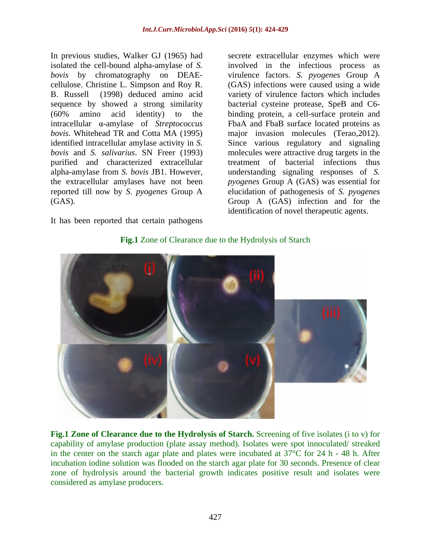In previous studies, Walker GJ (1965) had B. Russell (1998) deduced amino acid purified and characterized extracellular

It has been reported that certain pathogens

isolated the cell-bound alpha-amylase of *S.*  involved in the infectious process as *bovis* by chromatography on DEAE- virulence factors. *S. pyogenes* Group A cellulose. Christine L. Simpson and Roy R. (GAS) infections were caused using a wide sequence by showed a strong similarity bacterial cysteine protease, SpeB and C6- (60% amino acid identity) to the binding protein, a cell-surface protein and intracellular α-amylase of *Streptococcus* FbaA and FbaB surface located proteins as *bovis*. Whitehead TR and Cotta MA (1995) major invasion molecules (Terao,2012). identified intracellular amylase activity in *S.*  Since various regulatory and signaling *bovis* and *S. salivarius*. SN Freer (1993) molecules were attractive drug targets in the alpha-amylase from *S. bovis* JB1. However, understanding signaling responses of *S.*  the extracellular amylases have not been *pyogenes* Group A (GAS) was essential for reported till now by *S.pyogenes* Group A elucidation of pathogenesis of *S. pyogenes* (GAS). Group A (GAS) infection and for the secrete extracellular enzymes which were variety of virulence factors which includes treatment of bacterial infections thus identification of novel therapeutic agents.



**Fig.1** Zone of Clearance due to the Hydrolysis of Starch

**Fig.1 Zone of Clearance due to the Hydrolysis of Starch.** Screening of five isolates (i to v) for capability of amylase production (plate assay method). Isolates were spot innoculated/ streaked in the center on the starch agar plate and plates were incubated at 37°C for 24 h - 48 h. After incubation iodine solution was flooded on the starch agar plate for 30 seconds. Presence of clear zone of hydrolysis around the bacterial growth indicates positive result and isolates were considered as amylase producers.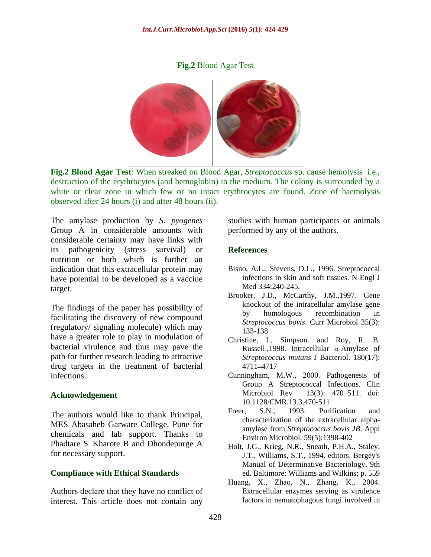## **Fig.2** Blood Agar Test



**Fig.2 Blood Agar Test**: When streaked on Blood Agar, *Streptococcus* sp. cause hemolysis i.e., destruction of the erythrocytes (and hemoglobin) in the medium. The colony is surrounded by a white or clear zone in which few or no intact erythrocytes are found. Zone of haemolysis observed after 24 hours (i) and after 48 hours (ii).

The amylase production by *S. pyogenes* studies with human participants or animals Group A in considerable amounts with considerable certainty may have links with its pathogenicity (stress survival) or nutrition or both which is further an indication that this extracellular protein may have potential to be developed as a vaccine target.

The findings of the paper has possibility of<br>by homologous recombination in facilitating the discovery of new compound (regulatory/ signaling molecule) which may  $\frac{\text{Sineposed}}{133-138}$ have a greater role to play in modulation of bacterial virulence and thus may pave the path for further research leading to attractive drug targets in the treatment of bacterial

MES Abasaheb Garware College, Pune for chemicals and lab support. Thanks to Phadtare S' Kharote B and Dhondepurge A  $\cdot$  Kharote B and Dhondepurge A Holt J G Krieg NR Speath P H A Staley For necessary support.<br>
For necessary support.<br>
Holt, J.G., Krieg, N.R., Sneath, P.H.A., Staley,<br>
J.T., Williams, S.T., 1994. editors. Bergev's

Authors declare that they have no conflict of interest. This article does not contain any

performed by any of the authors.

## **References**

- Bisno, A.L., Stevens, D.L., 1996. Streptococcal infections in skin and soft tissues. N Engl J Med 334:240-245.
- Brooker, J.D., McCarthy, J.M.,1997. Gene knockout of the intracellular amylase gene by homologous recombination in *Streptococcus bovis*. Curr Microbiol 35(3): 133-138
- Christine, L. Simpson. and Roy, R. B. Russell.,1998. Intracellular  $\alpha$ -Amylase of *Streptococcus mutans* J Bacteriol. 180(17): 4711 4717
- infections. Cunningham, M.W., 2000. Pathogenesis of **Acknowledgement** Microbiol Rev 13(3): 470–511. doi:<br>10.1128/CMR.13.3.470-511 Group A Streptococcal Infections. Clin Microbiol Rev 13(3): 470–511. doi: 10.1128/CMR.13.3.470-511
- The authors would like to thank Principal, Freer, S.N., 1993. Purification and Freer, S.N., 1993. Purification and characterization of the extracellular alpha amylase from *Streptococcus bovis JB*. Appl Environ Microbiol. 59(5):1398-402
- **Compliance with Ethical Standards** ed. Baltimore: Williams and Wilkins; p. 559 J.T., Williams, S.T., 1994. editors. Bergey's Manual of Determinative Bacteriology. 9th
	- Huang, X., Zhao, N., Zhang, K., 2004. Extracellular enzymes serving as virulence factors in nematophagous fungi involved in